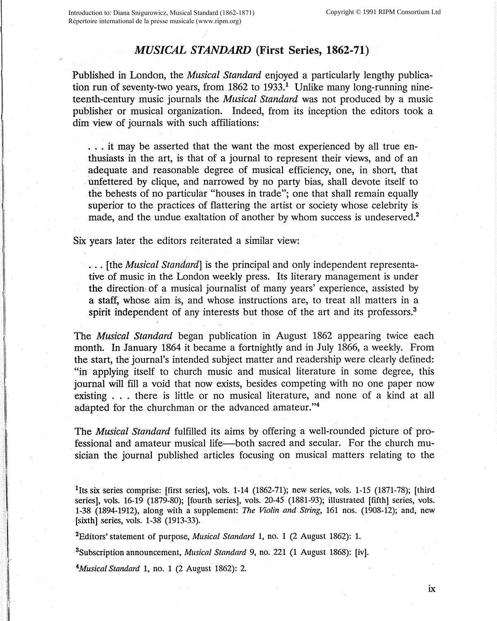## *MUSICAL STANDARD* **(First Series, 1862-71)**

Published in London, the *Musical Standard* enjoyed a particularly lengthy publication run of seventy-two years, from  $1862$  to  $1933<sup>1</sup>$  Unlike many long-running nineteenth-century music journals the *Musical Standard* was not produced by a music publisher or musical organization. Indeed, from its inception the editors took a dim view of journals with such affiliations:

. . . it may be asserted that the want the most experienced by all true enthusiasts in the art, is that of a journal to represent their views, and of an adequate and reasonable degree of musical efficiency, one, in short, that unfettered by clique, and narrowed by no party bias, shall devote itself to the behests of no particular "houses in trade"; one that shall remain equally superior to the practices of flattering the artist or society whose celebrity is made, and the undue exaltation of another by whom success is undeserved.<sup>2</sup>

Six years later the editors reiterated a similar view:

... [the *Musical Standard]* is the principal and only independent representative of music in the London weekly press. Its literary management is under the directiom of a musical journalist of many years' experience, assisted by a staff, whose aim is, and whose instructions are, to treat all matters in a spirit independent of any interests but those of the art and its professors.<sup>3</sup>

The *Musical Standard* began publication in August 1862 appearing twice each month. In January 1864 it became a fortnightly and in July 1866, a weekly. From the start, the journal's intended subject matter and readership were clearly defined: "in applying itself to church music and musical literature in some degree, this journal will fill a void that now exists, besides competing with no one paper now existing . . . there is little or no musical literature, and none of a kind at all adapted for the churchman or the advanced amateur."<sup>4</sup>

The *Musical Standard* fulfilled its aims by offering a well-rounded picture of professional and amateur musical life-both sacred and secular. For the church musician the journal published articles focusing on musical matters relating to the

<sup>1</sup>Its six series comprise: [first series], vols. 1-14 (1862-71); new series, vols. 1-15 (1871-78); [third series], vols. 16-19 (1879-80); [fourth series], vols. 20-45 (1881-93); illustrated [fifth] series, vols. 1-38 (1894-1912), along with a supplement: *The Violin and String,* 161 nos. (1908-12); and, new [sixth] series, vols. 1-38 (1913-33).

<sup>2</sup>Editors' statement of purpose, *Musical Standard* 1, no. 1 (2 August 1862): 1.

<sup>3</sup>Subscription announcement, *Musical Standard* 9, no. 221 (1 August 1868): [iv].

<sup>4</sup>Musical Standard 1, no. 1 (2 August 1862): 2.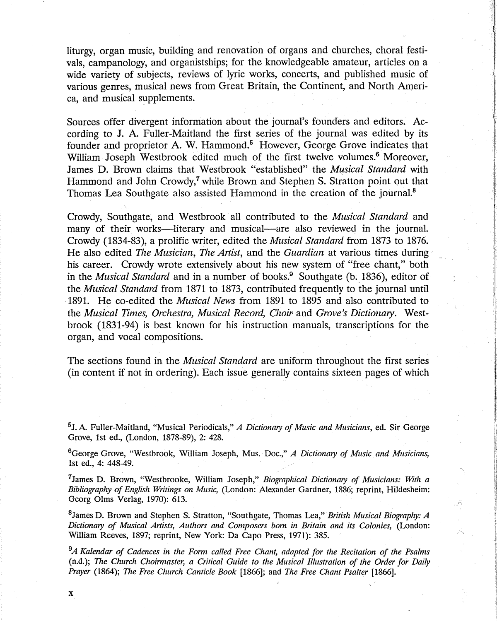liturgy, organ music, building and renovation of organs and churches, choral festivals, campanology, and organistships; for the knowledgeable amateur, articles on a wide variety of subjects, reviews of lyric works, concerts, and published music of various genres, musical news from Great Britain, the Continent, and North America, and musical supplements.

Sources offer divergent information about the journal's founders and editors. According to J. A. Fuller-Maitland the first series of the journal was edited by its founder and proprietor A. W. Hammond.<sup>5</sup> However, George Grove indicates that William Joseph Westbrook edited much of the first twelve volumes.<sup>6</sup> Moreover, James D. Brown claims that Westbrook "established" the *Musical Standard* with Hammond and John Crowdy,<sup>7</sup> while Brown and Stephen S. Stratton point out that Thomas Lea Southgate also assisted Hammond in the creation of the journal.<sup>8</sup>

Crowdy, Southgate, and Westbrook all contributed to the *Musical Standard* and many of their works—literary and musical—are also reviewed in the journal. Crowdy (1834-83), a prolific writer, edited the *Musical Standard* from 1873 to 1876. He also edited *The Musician, The Artist,* and the *Guardian* at various times during his career. Crowdy wrote extensively about his new system of "free chant," both in the *Musical Standard* and in a number of books.<sup>9</sup> Southgate (b. 1836), editor of the *Musical Standard* from 1871 to 1873, contributed frequently to the journal until 1891. He co-edited the *Musical News* from 1891 to 1895 and also contributed to the *Musical Times, Orchestra, Musical Record, Choir* and *Grove's Dictionary.* Westbrook (1831-94) is best known for his instruction manuals, transcriptions for the organ, and vocal compositions.

The sections found in the *Musical Standard* are uniform throughout the first series (in content if not in ordering). Each issue generally contains sixteen pages of which

<sup>5</sup>J. A. Fuller-Maitland, "Musical Periodicals," *A Dictionary of Music and Musicians,* ed. Sir George Grove, 1st ed., (London, 1878-89), 2: 428.

<sup>6</sup>George Grove, "Westbrook, William Joseph, Mus. Doc.," A Dictionary of Music and Musicians, 1st ed., 4: 448-49.

7 James D. Brown, "Westbrooke, William Joseph," *Biographical Dictionary of Musicians: With a Bibliography of English Writings on Music,* (London: Alexander Gardner, 1886; reprint, Hildesheim: Georg Olms Verlag, 1970): 613.

<sup>8</sup>James D. Brown and Stephen S. Stratton, "Southgate, Thomas Lea," *British Musical Biography: A Dictionary of Musical Artists, Authors and Composers born in Britain and its Colonies,* (London: William Reeves, 1897; reprint, New York: Da Capo Press, 1971): 385.

*9 A Kalendar of Cadences in the Form called Free Chant, adapted for the Recitation of the Psalms*  (n.d.); *The Church Choirmaster, a Critical Guide to the Musical Illustration of the Order for Daily Prayer* (1864); *The Free Church Canticle Book* [1866]; and *The Free Chant Psalter* [1866].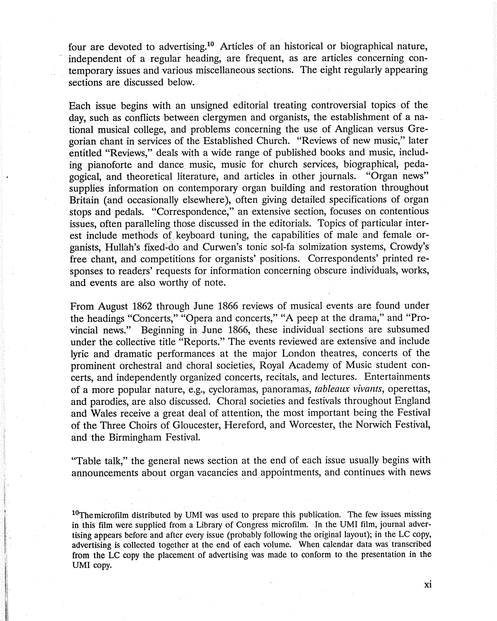four are devoted to advertising.<sup>10</sup> Articles of an historical or biographical nature, independent of a regular heading, are frequent, as are articles concerning contemporary issues and various miscellaneous sections. The eight regularly appearing sections are discussed below.

Each issue begins with an unsigned editorial treating controversial topics of the day, such as conflicts between clergymen and organists, the establishment of a national musical college, and problems concerning the use of Anglican versus Gregorian chant in services of the Established Church. "Reviews of new music/' later entitled "Reviews," deals with a wide range of published books and music, including pianoforte and dance. music, music for church services, biographical, pedagogical, and theoretical literature, and articles in other journals. "Organ news" supplies information on contemporary organ building and restoration throughout Britain (and occasionally elsewhere), often giving detailed specifications of organ stops and pedals. "Correspondence," an extensiye section, focuses on contentious issues, often paralleling those discussed in the editorials. Topics of particular interest include methods of keyboard tuning, the capabilities of male and female organists, Hullah's fixed-do and Curwen's tonic sol-fa solmization systems, Crowdy's free chant, and competitions for organists' positions. Correspondents' printed responses to readers' requests for information concerning obscure individuals, works, and events are also worthy of note.

From August 1862 through June 1866 reviews of musical events are found under the headings "Concerts," "Opera and concerts," "A peep at the drama," and "Provincial news." Beginning in June 1866, these individual sections are subsumed under the collective title "Reports." The events reviewed are extensive and include lyric and dramatic performances at the major London theatres, concerts of the prominent orchestral and choral societies, Royal Academy of Music student concerts, and independently organized concerts, recitals, and lectures. Entertainments of a more popular nature, e.g., cycloramas, panoramas, *tableaux vivants,* operettas, and parodies, are also discussed. Choral societies and festivals throughout England and Wales receive a great deal of attention, the most important being the Festival of the Three Choirs of Gloucester, Hereford, and Worcester, the Norwich Festival, and the Birmingham Festival.

"Table talk," the general news section at the end of each issue usually begins with announcements about organ vacancies and appointments, and continues with news

 $10$ The microfilm distributed by UMI was used to prepare this publication. The few issues missing in this film were supplied from a Library of Congress microfilm. In the UMI film, journal advertising appears before and after every issue (probably following the original layout); in the LC copy, advertising is collected together at the end of each volume. When calendar data was transcribed from the LC copy the placement of advertising was made to conform to the presentation in the UMI copy.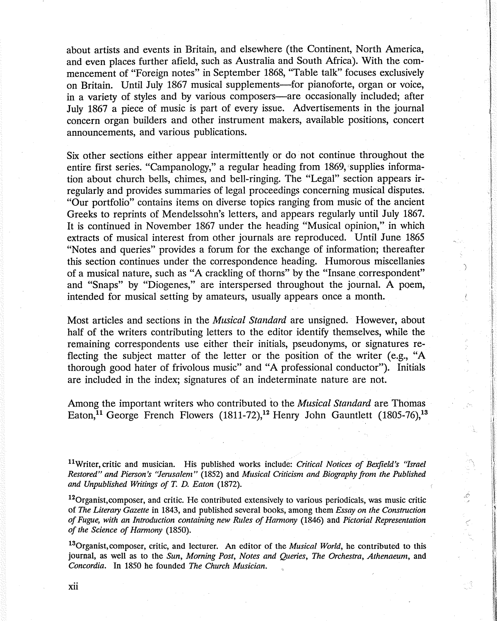about artists and events in Britain, and elsewhere (the Continent, North America, and even places further afield, such as Australia and South Africa). With the commencement of "Foreign notes" in September 1868, "Table talk" focuses exclusively on Britain. Until July 1867 musical supplements—for pianoforte, organ or voice, in a variety of styles and by various composers—are occasionally included; after July 1867 a piece of music is part of every issue. Advertisements in the journal concern organ builders and other instrument makers, available positions, concert announcements, and various publications.

Six other sections either appear intermittently or do not continue throughout the entire first series. "Campanology," a regular heading from 1869, supplies information about church bells, chimes, and bell-ringing. The "Legal" section appears irregularly and provides summaries of legal proceedings concerning musical disputes. "Our portfolio" contains items on diverse topics ranging from music of the ancient Greeks to reprints of Mendelssohn's letters, and appears regularly until July 1867. It is continued in November 1867 under the heading "Musical opinion," in which extracts of musical interest from other journals are reproduced. Until June 1865 "Notes and queries" provides a forum for the exchange of information; thereafter this section continues under the correspondence heading. Humorous miscellanies of a musical nature, such as "A crackling of thorns" by the "Insane correspondent" and "Snaps" by "Diogenes," are interspersed throughout the journal. A poem, intended for musical setting by amateurs, usually appears once a month.

)

Most articles and sections in the *Musical Standard* are unsigned. However, about half of the writers contributing letters to the editor identify themselves, while the remaining correspondents use either their initials, pseudonyms, or signatures reflecting the subject matter of the letter or the position of the writer (e.g., "A thorough good hater of frivolous music" and "A professional conductor"). Initials are included in the index; signatures of an indeterminate nature are not.

Among the important writers who contributed to the *Musical Standard* are Thomas Eaton,<sup>11</sup> George French Flowers (1811-72),<sup>12</sup> Henry John Gauntlett (1805-76),<sup>13</sup>

<sup>11</sup>Writer, critic and musician. His published works include: *Critical Notices of Bexfield's "Israel Restored" and Pierson's ''Jemsalem"* (1852) and *Musical Criticism and Biography from the Published and Unpublished Writings of* T. *D. Eaton* (1872).

 $12$ Organist, composer, and critic. He contributed extensively to various periodicals, was music critic of *The Literary Gazette* in 1843, and published several books, among them *Essay on the Construction of Fugue, with an Introduction containing new Rules of Hamzony* (1846) and *Pictorial Representation of the Science of Hamzony* (1850).

<sup>13</sup>Organist,composer, critic, and lecturer. An editor of the *Musical World,* he contributed to this journal, as well as to the *Sun, Morning Post, Notes and Queries, The Orchestra, Athenaeum,* and *Concordia.* In 1850 he founded *The Church Musician.*